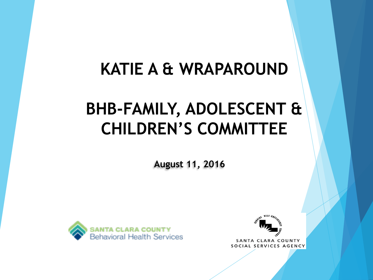#### **KATIE A & WRAPAROUND**

### **BHB-FAMILY, ADOLESCENT & CHILDREN'S COMMITTEE**

**August 11, 2016**





SANTA CLARA COUNTY SOCIAL SERVICES AGENCY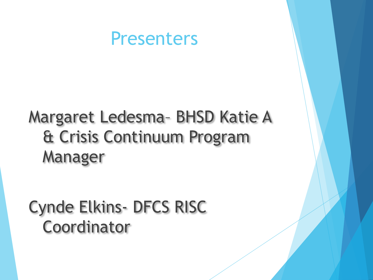#### Presenters

## Margaret Ledesma– BHSD Katie A & Crisis Continuum Program Manager

## Cynde Elkins- DFCS RISC Coordinator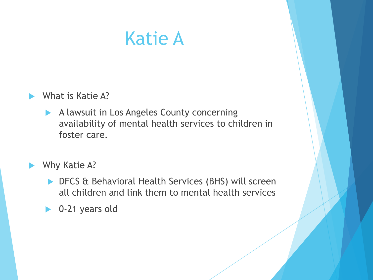## Katie A

#### What is Katie A?

A lawsuit in Los Angeles County concerning availability of mental health services to children in foster care.

#### Why Katie A?

- **DFCS & Behavioral Health Services (BHS) will screen** all children and link them to mental health services
- ▶ 0-21 years old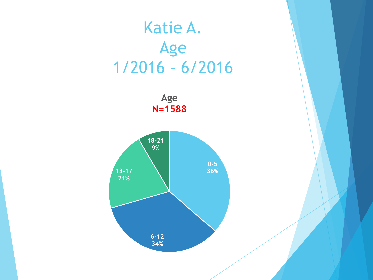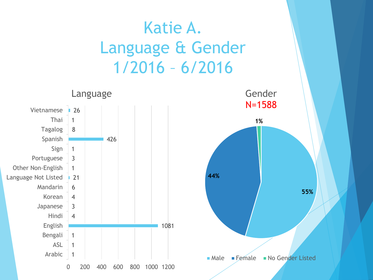### Katie A. Language & Gender 1/2016 – 6/2016





Gender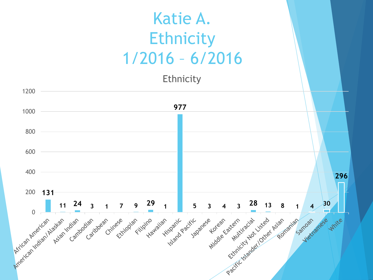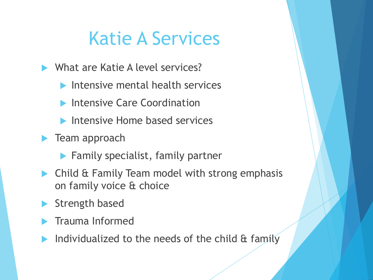# Katie A Services

- What are Katie A level services?
	- $\blacktriangleright$  Intensive mental health services
	- **Intensive Care Coordination**
	- **Intensive Home based services**
- **Team approach** 
	- **Family specialist, family partner**
- **Child & Family Team model with strong emphasis** on family voice & choice
- Strength based
- Trauma Informed
- Individualized to the needs of the child & family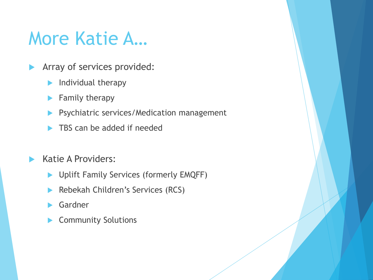## More Katie A…

- Array of services provided:
	- $\blacktriangleright$  Individual therapy
	- $\blacktriangleright$  Family therapy
	- **Psychiatric services/Medication management**
	- TBS can be added if needed
- Katie A Providers:
	- **Diangle 1** Uplift Family Services (formerly EMQFF)
	- Rebekah Children's Services (RCS)
	- Gardner
	- Community Solutions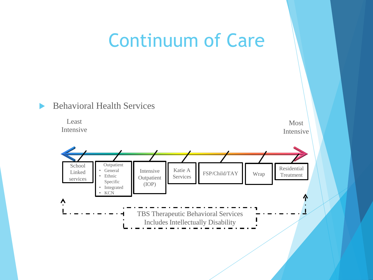### Continuum of Care

#### Behavioral Health Services

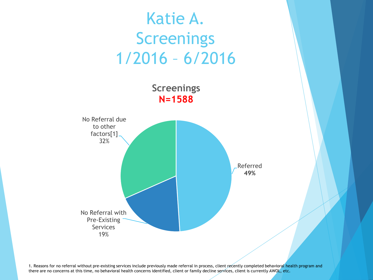

1. Reasons for no referral without pre-existing services include previously made referral in process, client recently completed behavioral health program and there are no concerns at this time, no behavioral health concerns identified, client or family decline services, client is currently AWOL, etc.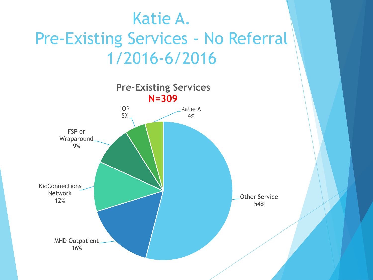## Katie A. Pre-Existing Services - No Referral 1/2016-6/2016

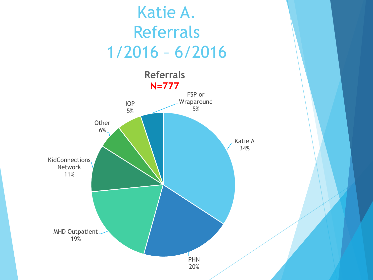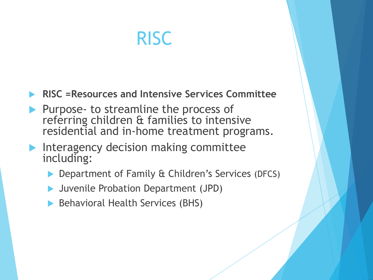# RISC

**RISC =Resources and Intensive Services Committee**

- Purpose- to streamline the process of referring children & families to intensive residential and in-home treatment programs.
- Interagency decision making committee including:
	- **Department of Family & Children's Services (DFCS)**
	- Juvenile Probation Department (JPD)
	- ▶ Behavioral Health Services (BHS)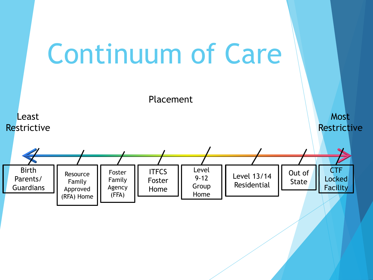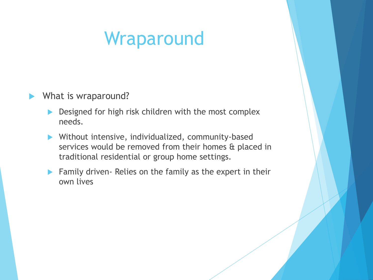# Wraparound

#### ▶ What is wraparound?

- Designed for high risk children with the most complex needs.
- Without intensive, individualized, community-based services would be removed from their homes & placed in traditional residential or group home settings.
- **Family driven- Relies on the family as the expert in their** own lives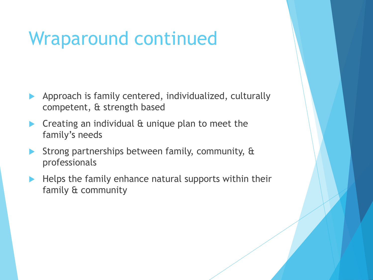# Wraparound continued

- Approach is family centered, individualized, culturally competent, & strength based
- $\triangleright$  Creating an individual  $\alpha$  unique plan to meet the family's needs
- Strong partnerships between family, community, & professionals
- $\blacktriangleright$  Helps the family enhance natural supports within their family & community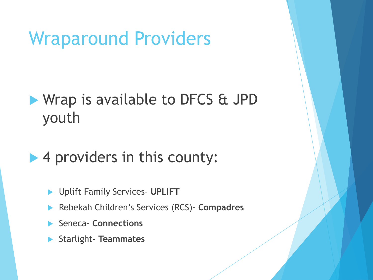## Wraparound Providers

#### Wrap is available to DFCS & JPD youth

#### ▶ 4 providers in this county:

- Uplift Family Services- **UPLIFT**
- Rebekah Children's Services (RCS)- **Compadres**
- Seneca- **Connections**
- Starlight- **Teammates**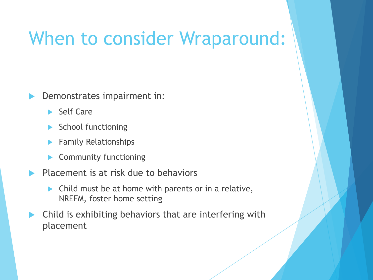## When to consider Wraparound:

Demonstrates impairment in:

- Self Care
- School functioning
- Family Relationships
- Community functioning
- $\blacktriangleright$  Placement is at risk due to behaviors
	- **Child must be at home with parents or in a relative,** NREFM, foster home setting
- Child is exhibiting behaviors that are interfering with placement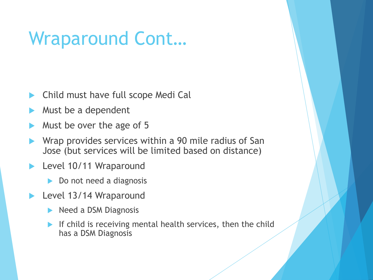# Wraparound Cont…

- Child must have full scope Medi Cal
- Must be a dependent
- Must be over the age of 5
- Wrap provides services within a 90 mile radius of San Jose (but services will be limited based on distance)
- Level 10/11 Wraparound
	- Do not need a diagnosis
- Level 13/14 Wraparound
	- Need a DSM Diagnosis
	- If child is receiving mental health services, then the child has a DSM Diagnosis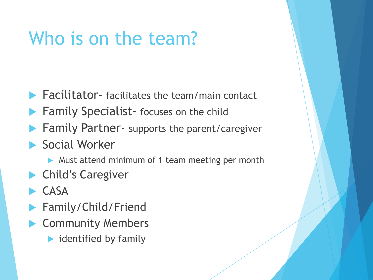# Who is on the team?

- $\blacktriangleright$  Facilitator- facilitates the team/main contact
- **Family Specialist-** focuses on the child
- Family Partner- supports the parent/caregiver
- Social Worker
	- Must attend minimum of 1 team meeting per month
- Child's Caregiver
- CASA
- Family/Child/Friend
- Community Members
	- $\blacktriangleright$  identified by family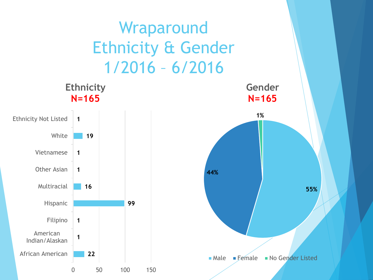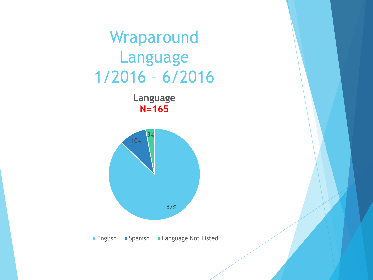

**Language N=165**



**English • Spanish • Language Not Listed**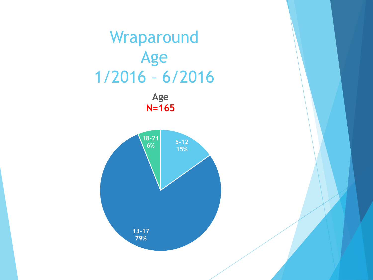